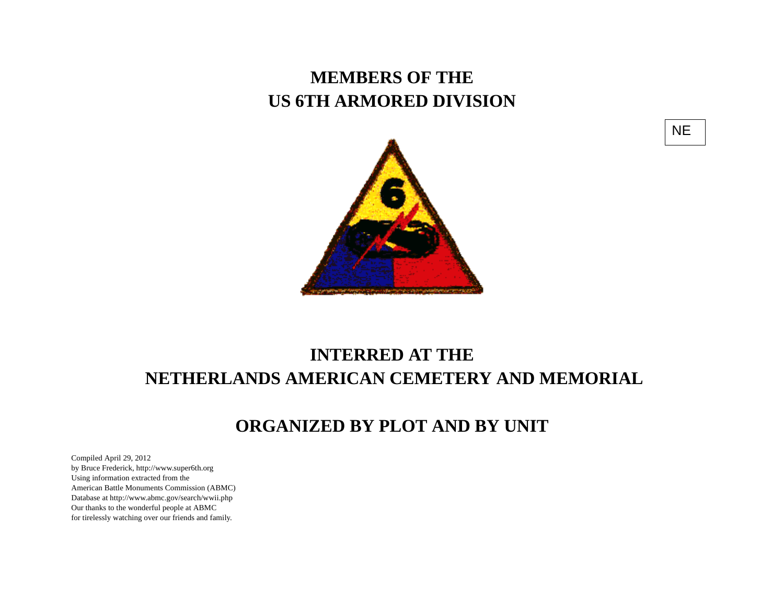## **MEMBERS OF THE US 6TH ARMORED DIVISION**





## **INTERRED AT THE NETHERLANDS AMERICAN CEMETERY AND MEMORIAL**

## **ORGANIZED BY PLOT AND BY UNIT**

Compiled April 29, 2012 by Bruce Frederick, http://www.super6th.orgUsing information extracted from the American Battle Monuments Commission (ABMC) Database at http://www.abmc.gov/search/wwii.phpOur thanks to the wonderful people at ABMC for tirelessly watching over our friends and family.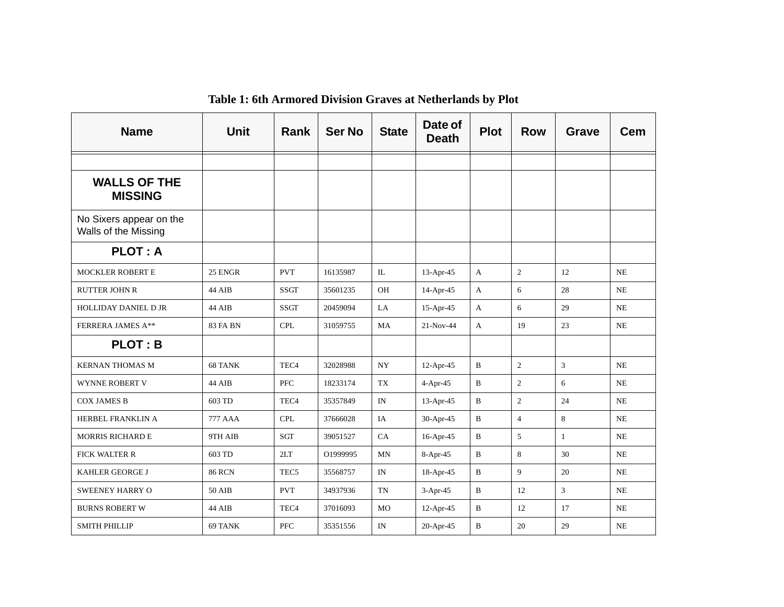| <b>Name</b>                                     | <b>Unit</b>     | <b>Rank</b>      | <b>Ser No</b> | <b>State</b> | Date of<br><b>Death</b> | <b>Plot</b>  | <b>Row</b>     | Grave          | <b>Cem</b> |
|-------------------------------------------------|-----------------|------------------|---------------|--------------|-------------------------|--------------|----------------|----------------|------------|
|                                                 |                 |                  |               |              |                         |              |                |                |            |
| <b>WALLS OF THE</b><br><b>MISSING</b>           |                 |                  |               |              |                         |              |                |                |            |
| No Sixers appear on the<br>Walls of the Missing |                 |                  |               |              |                         |              |                |                |            |
| <b>PLOT: A</b>                                  |                 |                  |               |              |                         |              |                |                |            |
| <b>MOCKLER ROBERT E</b>                         | 25 ENGR         | <b>PVT</b>       | 16135987      | IL           | $13$ -Apr-45            | $\mathbf{A}$ | $\overline{c}$ | 12             | <b>NE</b>  |
| <b>RUTTER JOHN R</b>                            | 44 AIB          | <b>SSGT</b>      | 35601235      | <b>OH</b>    | 14-Apr-45               | A            | 6              | 28             | <b>NE</b>  |
| <b>HOLLIDAY DANIEL D JR</b>                     | 44 AIB          | <b>SSGT</b>      | 20459094      | LA           | $15$ -Apr-45            | A            | 6              | 29             | NE         |
| <b>FERRERA JAMES A**</b>                        | <b>83 FA BN</b> | <b>CPL</b>       | 31059755      | MA           | $21-Nov-44$             | $\mathbf{A}$ | 19             | 23             | NE         |
| <b>PLOT: B</b>                                  |                 |                  |               |              |                         |              |                |                |            |
| <b>KERNAN THOMAS M</b>                          | 68 TANK         | TEC <sub>4</sub> | 32028988      | <b>NY</b>    | $12-Apr-45$             | B            | $\overline{c}$ | $\mathbf{3}$   | <b>NE</b>  |
| <b>WYNNE ROBERT V</b>                           | 44 AIB          | <b>PFC</b>       | 18233174      | <b>TX</b>    | $4-Apr-45$              | B            | $\overline{2}$ | 6              | <b>NE</b>  |
| <b>COX JAMES B</b>                              | 603 TD          | TEC <sub>4</sub> | 35357849      | IN           | $13-Apr-45$             | $\, {\bf B}$ | $\overline{c}$ | 24             | <b>NE</b>  |
| HERBEL FRANKLIN A                               | 777 AAA         | <b>CPL</b>       | 37666028      | IA           | 30-Apr-45               | B            | $\overline{4}$ | 8              | <b>NE</b>  |
| <b>MORRIS RICHARD E</b>                         | 9TH AIB         | <b>SGT</b>       | 39051527      | CA           | $16$ -Apr-45            | B            | 5              | 1              | <b>NE</b>  |
| <b>FICK WALTER R</b>                            | 603 TD          | 2LT              | O1999995      | MN           | 8-Apr-45                | B            | $\,8\,$        | 30             | $\rm NE$   |
| <b>KAHLER GEORGE J</b>                          | <b>86 RCN</b>   | TEC <sub>5</sub> | 35568757      | IN           | 18-Apr-45               | B            | 9              | 20             | NE         |
| <b>SWEENEY HARRY O</b>                          | 50 AIB          | <b>PVT</b>       | 34937936      | <b>TN</b>    | $3-Apr-45$              | $\mathbf{B}$ | 12             | $\overline{3}$ | NE         |
| <b>BURNS ROBERT W</b>                           | 44 AIB          | TEC <sub>4</sub> | 37016093      | MO           | $12-Apr-45$             | $\mathbf B$  | 12             | 17             | <b>NE</b>  |
| <b>SMITH PHILLIP</b>                            | 69 TANK         | <b>PFC</b>       | 35351556      | IN           | 20-Apr-45               | B            | 20             | 29             | <b>NE</b>  |

## **Table 1: 6th Armored Division Graves at Netherlands by Plot**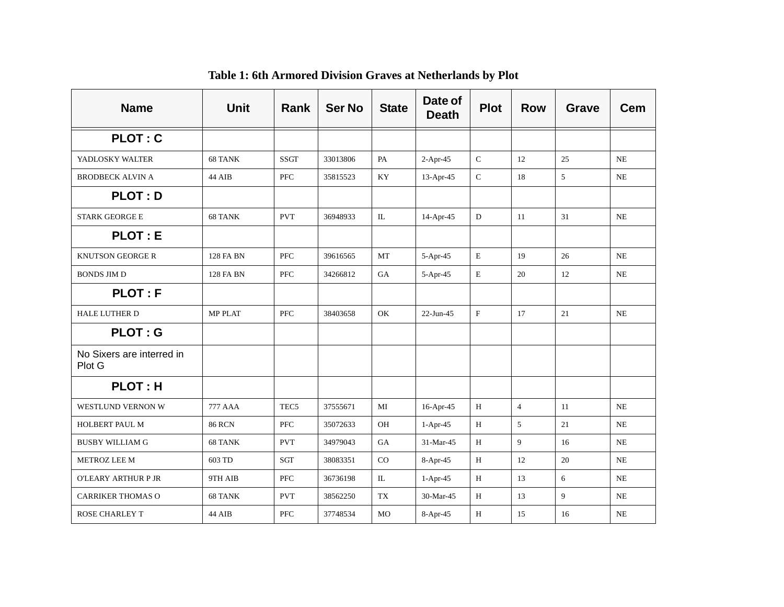| <b>Name</b>                         | <b>Unit</b>      | <b>Rank</b>      | <b>Ser No</b> | <b>State</b>   | Date of<br><b>Death</b> | <b>Plot</b> | <b>Row</b>     | Grave | Cem       |
|-------------------------------------|------------------|------------------|---------------|----------------|-------------------------|-------------|----------------|-------|-----------|
| <b>PLOT: C</b>                      |                  |                  |               |                |                         |             |                |       |           |
| YADLOSKY WALTER                     | 68 TANK          | <b>SSGT</b>      | 33013806      | PA             | $2-Apr-45$              | ${\bf C}$   | 12             | 25    | NE        |
| <b>BRODBECK ALVIN A</b>             | 44 AIB           | PFC              | 35815523      | KY             | 13-Apr-45               | ${\bf C}$   | 18             | 5     | $\rm NE$  |
| <b>PLOT: D</b>                      |                  |                  |               |                |                         |             |                |       |           |
| <b>STARK GEORGE E</b>               | 68 TANK          | <b>PVT</b>       | 36948933      | IL             | 14-Apr-45               | ${\bf D}$   | 11             | 31    | NE        |
| <b>PLOT: E</b>                      |                  |                  |               |                |                         |             |                |       |           |
| <b>KNUTSON GEORGE R</b>             | <b>128 FA BN</b> | <b>PFC</b>       | 39616565      | <b>MT</b>      | $5-Apr-45$              | $\mathbf E$ | 19             | 26    | NE        |
| <b>BONDS JIM D</b>                  | <b>128 FA BN</b> | PFC              | 34266812      | GA             | 5-Apr-45                | $\mathbf E$ | 20             | 12    | $\rm NE$  |
| <b>PLOT: F</b>                      |                  |                  |               |                |                         |             |                |       |           |
| <b>HALE LUTHER D</b>                | MP PLAT          | <b>PFC</b>       | 38403658      | OK             | $22-Jun-45$             | $\rm F$     | 17             | 21    | <b>NE</b> |
| <b>PLOT: G</b>                      |                  |                  |               |                |                         |             |                |       |           |
| No Sixers are interred in<br>Plot G |                  |                  |               |                |                         |             |                |       |           |
| <b>PLOT: H</b>                      |                  |                  |               |                |                         |             |                |       |           |
| WESTLUND VERNON W                   | 777 AAA          | TEC <sub>5</sub> | 37555671      | MI             | 16-Apr-45               | H           | $\overline{4}$ | 11    | NE        |
| HOLBERT PAUL M                      | <b>86 RCN</b>    | PFC              | 35072633      | OH             | $1-Apr-45$              | H           | $5\,$          | 21    | $\rm NE$  |
| <b>BUSBY WILLIAM G</b>              | 68 TANK          | <b>PVT</b>       | 34979043      | <b>GA</b>      | 31-Mar-45               | H           | 9              | 16    | NE        |
| METROZ LEE M                        | 603 TD           | <b>SGT</b>       | 38083351      | $_{\rm CO}$    | 8-Apr-45                | $\,$ H      | 12             | 20    | $\rm NE$  |
| O'LEARY ARTHUR P JR                 | 9TH AIB          | <b>PFC</b>       | 36736198      | IL             | $1-Apr-45$              | H           | 13             | 6     | <b>NE</b> |
| <b>CARRIKER THOMAS O</b>            | 68 TANK          | <b>PVT</b>       | 38562250      | TX             | 30-Mar-45               | H           | 13             | 9     | <b>NE</b> |
| <b>ROSE CHARLEY T</b>               | 44 AIB           | <b>PFC</b>       | 37748534      | M <sub>O</sub> | 8-Apr-45                | H           | 15             | 16    | <b>NE</b> |

**Table 1: 6th Armored Division Graves at Netherlands by Plot**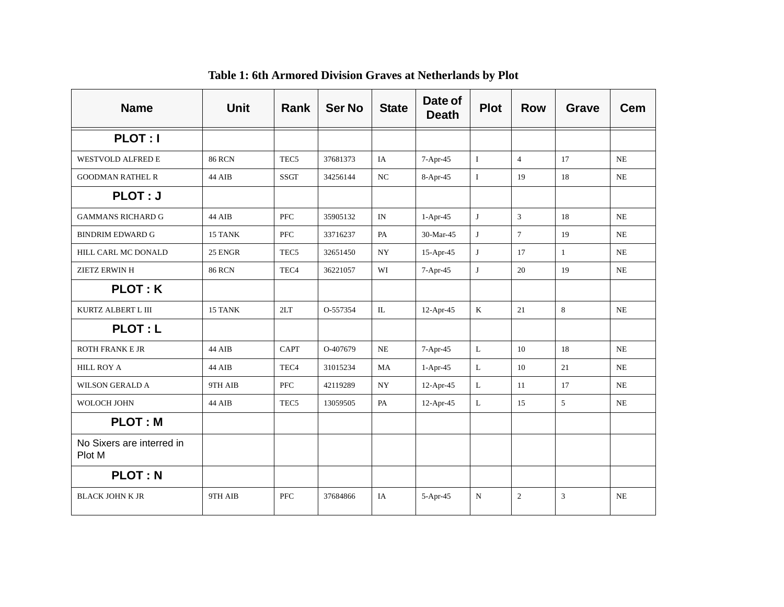| <b>Name</b>                         | <b>Unit</b>   | Rank             | <b>Ser No</b> | <b>State</b> | Date of<br><b>Death</b> | <b>Plot</b>  | <b>Row</b>     | Grave        | <b>Cem</b> |
|-------------------------------------|---------------|------------------|---------------|--------------|-------------------------|--------------|----------------|--------------|------------|
| PLOT: I                             |               |                  |               |              |                         |              |                |              |            |
| <b>WESTVOLD ALFRED E</b>            | <b>86 RCN</b> | TEC <sub>5</sub> | 37681373      | IA           | 7-Apr-45                | $\bf{I}$     | $\overline{4}$ | 17           | NE         |
| <b>GOODMAN RATHEL R</b>             | 44 AIB        | <b>SSGT</b>      | 34256144      | NC           | 8-Apr-45                | $\mathbf I$  | 19             | 18           | NE         |
| PLOT: J                             |               |                  |               |              |                         |              |                |              |            |
| <b>GAMMANS RICHARD G</b>            | 44 AIB        | <b>PFC</b>       | 35905132      | IN           | $1-Apr-45$              | J            | $\mathfrak{Z}$ | 18           | NE         |
| <b>BINDRIM EDWARD G</b>             | 15 TANK       | PFC              | 33716237      | PA           | 30-Mar-45               | J            | $\overline{7}$ | 19           | NE         |
| HILL CARL MC DONALD                 | 25 ENGR       | TEC <sub>5</sub> | 32651450      | <b>NY</b>    | $15-Apr-45$             | J            | 17             | $\mathbf{1}$ | NE         |
| ZIETZ ERWIN H                       | <b>86 RCN</b> | TEC <sub>4</sub> | 36221057      | WI           | 7-Apr-45                | J            | 20             | 19           | NE         |
| <b>PLOT: K</b>                      |               |                  |               |              |                         |              |                |              |            |
| KURTZ ALBERT L III                  | 15 TANK       | 2LT              | O-557354      | $\rm IL$     | 12-Apr-45               | $\mathbf K$  | 21             | 8            | NE         |
| <b>PLOT: L</b>                      |               |                  |               |              |                         |              |                |              |            |
| <b>ROTH FRANK E JR</b>              | 44 AIB        | <b>CAPT</b>      | O-407679      | NE           | 7-Apr-45                | $\mathbf L$  | 10             | 18           | NE         |
| <b>HILL ROY A</b>                   | 44 AIB        | TEC <sub>4</sub> | 31015234      | MA           | $1-Apr-45$              | $\mathbf L$  | 10             | 21           | <b>NE</b>  |
| <b>WILSON GERALD A</b>              | 9TH AIB       | <b>PFC</b>       | 42119289      | <b>NY</b>    | $12-Apr-45$             | $\mathbf{L}$ | 11             | 17           | NE         |
| WOLOCH JOHN                         | 44 AIB        | TEC <sub>5</sub> | 13059505      | PA           | 12-Apr-45               | L            | 15             | 5            | <b>NE</b>  |
| <b>PLOT: M</b>                      |               |                  |               |              |                         |              |                |              |            |
| No Sixers are interred in<br>Plot M |               |                  |               |              |                         |              |                |              |            |
| <b>PLOT: N</b>                      |               |                  |               |              |                         |              |                |              |            |
| <b>BLACK JOHN K JR</b>              | 9TH AIB       | PFC              | 37684866      | IA           | 5-Apr-45                | ${\bf N}$    | $\overline{c}$ | 3            | <b>NE</b>  |

**Table 1: 6th Armored Division Graves at Netherlands by Plot**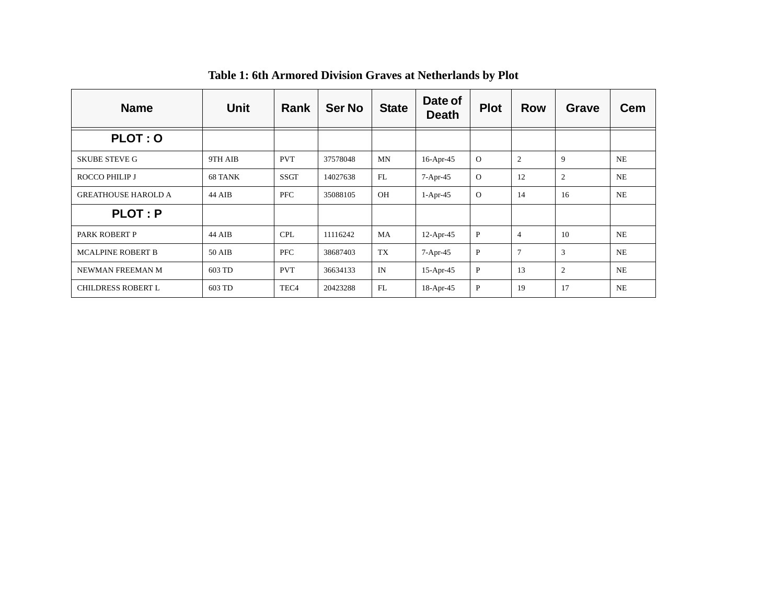| <b>Name</b>                | <b>Unit</b> | Rank             | <b>Ser No</b> | <b>State</b> | Date of<br><b>Death</b> | <b>Plot</b>  | <b>Row</b>     | <b>Grave</b>   | <b>Cem</b> |
|----------------------------|-------------|------------------|---------------|--------------|-------------------------|--------------|----------------|----------------|------------|
| <b>PLOT: O</b>             |             |                  |               |              |                         |              |                |                |            |
| <b>SKUBE STEVE G</b>       | 9TH AIB     | <b>PVT</b>       | 37578048      | MN           | $16$ -Apr-45            | $\mathbf{O}$ | $\overline{c}$ | 9              | <b>NE</b>  |
| ROCCO PHILIP J             | 68 TANK     | SSGT             | 14027638      | FL           | 7-Apr-45                | $\mathbf{O}$ | 12             | $\overline{c}$ | <b>NE</b>  |
| <b>GREATHOUSE HAROLD A</b> | 44 AIB      | PFC              | 35088105      | OH           | $1-Apr-45$              | $\Omega$     | 14             | 16             | <b>NE</b>  |
| <b>PLOT: P</b>             |             |                  |               |              |                         |              |                |                |            |
| PARK ROBERT P              | 44 AIB      | <b>CPL</b>       | 11116242      | MA           | $12$ -Apr-45            | $\mathbf{P}$ | $\overline{4}$ | 10             | <b>NE</b>  |
| <b>MCALPINE ROBERT B</b>   | 50 AIB      | <b>PFC</b>       | 38687403      | <b>TX</b>    | $7-Apr-45$              | $\mathbf{P}$ | $\overline{7}$ | 3              | <b>NE</b>  |
| NEWMAN FREEMAN M           | 603 TD      | <b>PVT</b>       | 36634133      | IN           | $15$ -Apr-45            | $\mathbf{P}$ | 13             | $\overline{c}$ | <b>NE</b>  |
| <b>CHILDRESS ROBERT L</b>  | 603 TD      | TEC <sub>4</sub> | 20423288      | FL           | 18-Apr-45               | P            | 19             | 17             | <b>NE</b>  |

**Table 1: 6th Armored Division Graves at Netherlands by Plot**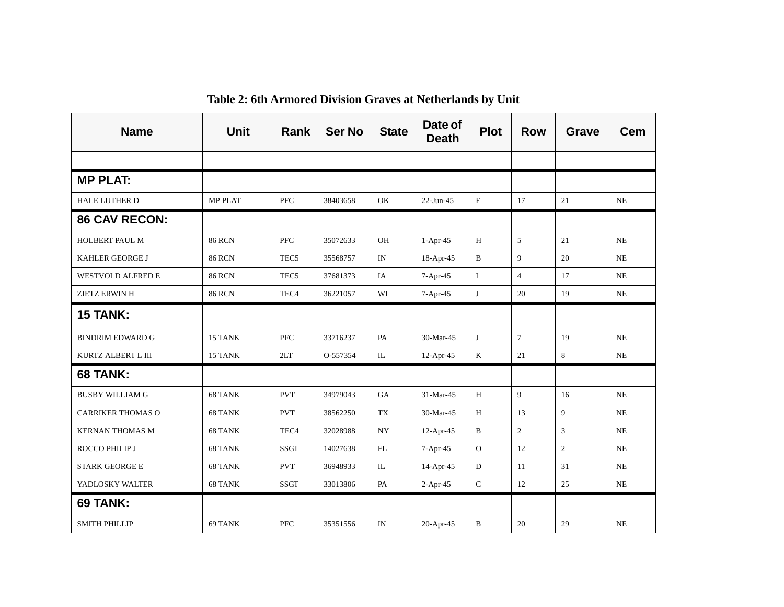| <b>Name</b>              | <b>Unit</b>    | Rank             | <b>Ser No</b> | <b>State</b> | Date of<br><b>Death</b> | <b>Plot</b>  | <b>Row</b>     | <b>Grave</b>   | <b>Cem</b> |
|--------------------------|----------------|------------------|---------------|--------------|-------------------------|--------------|----------------|----------------|------------|
|                          |                |                  |               |              |                         |              |                |                |            |
| <b>MP PLAT:</b>          |                |                  |               |              |                         |              |                |                |            |
| <b>HALE LUTHER D</b>     | <b>MP PLAT</b> | <b>PFC</b>       | 38403658      | OK           | 22-Jun-45               | $\mathbf{F}$ | 17             | 21             | <b>NE</b>  |
| <b>86 CAV RECON:</b>     |                |                  |               |              |                         |              |                |                |            |
| <b>HOLBERT PAUL M</b>    | <b>86 RCN</b>  | <b>PFC</b>       | 35072633      | <b>OH</b>    | $1-Apr-45$              | H            | $\sqrt{5}$     | 21             | <b>NE</b>  |
| <b>KAHLER GEORGE J</b>   | <b>86 RCN</b>  | TEC <sub>5</sub> | 35568757      | IN           | 18-Apr-45               | B            | $\mathbf{Q}$   | 20             | NE         |
| WESTVOLD ALFRED E        | <b>86 RCN</b>  | TEC <sub>5</sub> | 37681373      | IA           | 7-Apr-45                | $\bf{I}$     | $\overline{4}$ | 17             | NE         |
| <b>ZIETZ ERWIN H</b>     | <b>86 RCN</b>  | TEC <sub>4</sub> | 36221057      | WI           | 7-Apr-45                | J            | 20             | 19             | NE         |
| <b>15 TANK:</b>          |                |                  |               |              |                         |              |                |                |            |
| <b>BINDRIM EDWARD G</b>  | 15 TANK        | <b>PFC</b>       | 33716237      | PA           | 30-Mar-45               | J            | $\overline{7}$ | 19             | <b>NE</b>  |
| KURTZ ALBERT L III       | 15 TANK        | 2LT              | O-557354      | $\mathbb{L}$ | 12-Apr-45               | K            | 21             | 8              | NE         |
| <b>68 TANK:</b>          |                |                  |               |              |                         |              |                |                |            |
| <b>BUSBY WILLIAM G</b>   | 68 TANK        | <b>PVT</b>       | 34979043      | <b>GA</b>    | 31-Mar-45               | H            | 9              | 16             | <b>NE</b>  |
| <b>CARRIKER THOMAS O</b> | 68 TANK        | <b>PVT</b>       | 38562250      | TX           | 30-Mar-45               | H            | 13             | 9              | NE         |
| <b>KERNAN THOMAS M</b>   | 68 TANK        | TEC <sub>4</sub> | 32028988      | NY           | $12$ -Apr-45            | B            | $\overline{2}$ | 3              | NE         |
| ROCCO PHILIP J           | 68 TANK        | <b>SSGT</b>      | 14027638      | FL           | $7-Apr-45$              | $\mathbf{O}$ | 12             | $\overline{2}$ | NE         |
| <b>STARK GEORGE E</b>    | 68 TANK        | <b>PVT</b>       | 36948933      | IL           | $14$ -Apr-45            | ${\rm D}$    | 11             | 31             | NE         |
| YADLOSKY WALTER          | 68 TANK        | <b>SSGT</b>      | 33013806      | PA           | $2-Apr-45$              | ${\bf C}$    | 12             | 25             | NE         |
| 69 TANK:                 |                |                  |               |              |                         |              |                |                |            |
| <b>SMITH PHILLIP</b>     | 69 TANK        | <b>PFC</b>       | 35351556      | IN           | 20-Apr-45               | B            | 20             | 29             | <b>NE</b>  |

**Table 2: 6th Armored Division Graves at Netherlands by Unit**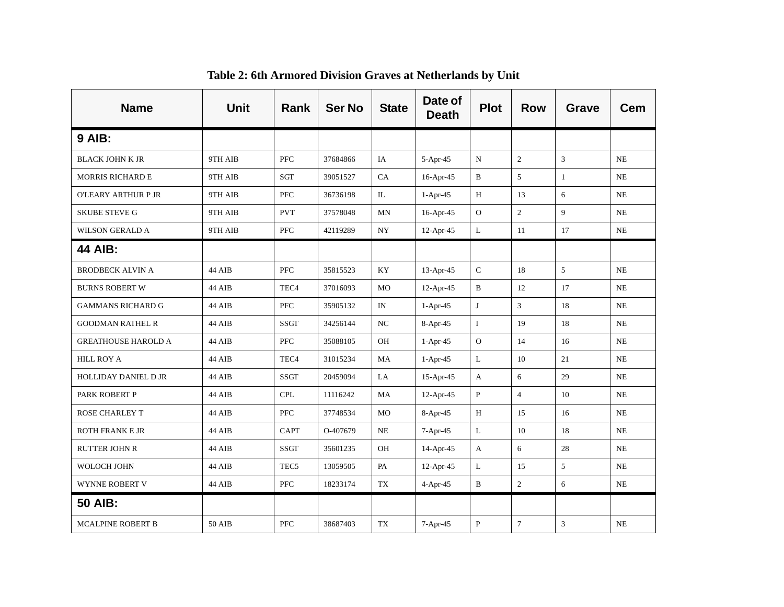| <b>Name</b>                 | <b>Unit</b> | Rank             | <b>Ser No</b> | <b>State</b> | Date of<br><b>Death</b> | <b>Plot</b>  | <b>Row</b>     | Grave          | Cem       |
|-----------------------------|-------------|------------------|---------------|--------------|-------------------------|--------------|----------------|----------------|-----------|
| <b>9 AIB:</b>               |             |                  |               |              |                         |              |                |                |           |
| <b>BLACK JOHN K JR</b>      | 9TH AIB     | <b>PFC</b>       | 37684866      | IA           | $5-Apr-45$              | N            | $\overline{2}$ | $\mathbf{3}$   | NE        |
| <b>MORRIS RICHARD E</b>     | 9TH AIB     | SGT              | 39051527      | CA           | $16$ -Apr-45            | B            | 5              | $\mathbf{1}$   | NE        |
| O'LEARY ARTHUR P JR         | 9TH AIB     | <b>PFC</b>       | 36736198      | IL           | $1-Apr-45$              | Н            | 13             | 6              | NE        |
| <b>SKUBE STEVE G</b>        | 9TH AIB     | <b>PVT</b>       | 37578048      | MN           | $16$ -Apr-45            | ${\rm O}$    | $\overline{c}$ | $\overline{9}$ | NE        |
| <b>WILSON GERALD A</b>      | 9TH AIB     | PFC              | 42119289      | NY           | $12-Apr-45$             | $\mathbf{L}$ | 11             | 17             | NE        |
| <b>44 AIB:</b>              |             |                  |               |              |                         |              |                |                |           |
| <b>BRODBECK ALVIN A</b>     | 44 AIB      | <b>PFC</b>       | 35815523      | KY           | $13-Apr-45$             | $\mathsf C$  | 18             | 5              | NE        |
| <b>BURNS ROBERT W</b>       | 44 AIB      | TEC <sub>4</sub> | 37016093      | MO           | $12-Apr-45$             | B            | 12             | 17             | NE        |
| <b>GAMMANS RICHARD G</b>    | 44 AIB      | PFC              | 35905132      | IN           | $1-Apr-45$              | J            | 3              | 18             | NE        |
| <b>GOODMAN RATHEL R</b>     | 44 AIB      | <b>SSGT</b>      | 34256144      | NC           | $8-Apr-45$              | $\bf{I}$     | 19             | 18             | NE        |
| <b>GREATHOUSE HAROLD A</b>  | 44 AIB      | <b>PFC</b>       | 35088105      | OH           | $1-Apr-45$              | $\mathbf O$  | 14             | 16             | NE        |
| <b>HILL ROY A</b>           | 44 AIB      | TEC <sub>4</sub> | 31015234      | MA           | $1-Apr-45$              | $\mathbf{L}$ | 10             | 21             | NE        |
| <b>HOLLIDAY DANIEL D JR</b> | 44 AIB      | <b>SSGT</b>      | 20459094      | LA           | $15$ -Apr-45            | A            | 6              | 29             | NE        |
| PARK ROBERT P               | 44 AIB      | <b>CPL</b>       | 11116242      | MA           | $12-Apr-45$             | $\mathbf{P}$ | $\overline{4}$ | 10             | NE        |
| <b>ROSE CHARLEY T</b>       | 44 AIB      | <b>PFC</b>       | 37748534      | <b>MO</b>    | $8-Apr-45$              | H            | 15             | 16             | <b>NE</b> |
| <b>ROTH FRANK E JR</b>      | 44 AIB      | CAPT             | O-407679      | NE           | $7-Apr-45$              | L            | 10             | 18             | <b>NE</b> |
| <b>RUTTER JOHN R</b>        | 44 AIB      | <b>SSGT</b>      | 35601235      | OH           | $14$ -Apr-45            | A            | 6              | 28             | <b>NE</b> |
| WOLOCH JOHN                 | 44 AIB      | TEC <sub>5</sub> | 13059505      | PA           | $12-Apr-45$             | L            | 15             | 5              | NE        |
| WYNNE ROBERT V              | 44 AIB      | <b>PFC</b>       | 18233174      | TX           | $4-Apr-45$              | B            | $\overline{c}$ | 6              | NE        |
| <b>50 AIB:</b>              |             |                  |               |              |                         |              |                |                |           |
| <b>MCALPINE ROBERT B</b>    | 50 AIB      | <b>PFC</b>       | 38687403      | TX           | $7-Apr-45$              | $\mathbf P$  | $\tau$         | 3              | NE        |

**Table 2: 6th Armored Division Graves at Netherlands by Unit**